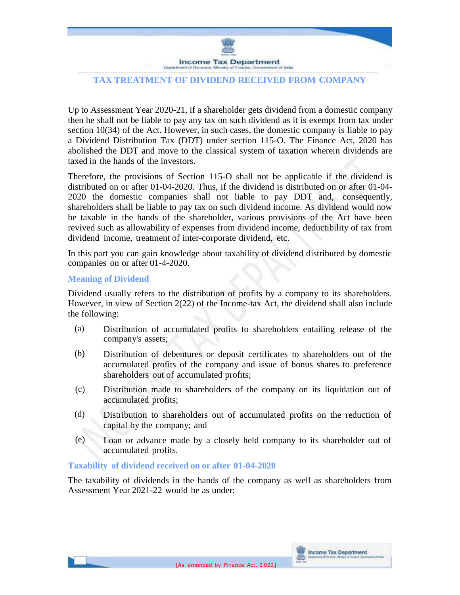

# **TAX TREATMENT OF DIVIDEND RECEIVED FROM COMPANY**

Up to Assessment Year 2020-21, if a shareholder gets dividend from a domestic company then he shall not be liable to pay any tax on such dividend as it is exempt from tax under section 10(34) of the Act. However, in such cases, the domestic company is liable to pay a Dividend Distribution Tax (DDT) under section 115-O. The Finance Act, 2020 has abolished the DDT and move to the classical system of taxation wherein dividends are taxed in the hands of the investors.

Therefore, the provisions of Section 115-O shall not be applicable if the dividend is distributed on or after 01-04-2020. Thus, if the dividend is distributed on or after 01-04- 2020 the domestic companies shall not liable to pay DDT and, consequently, shareholders shall be liable to pay tax on such dividend income. As dividend would now be taxable in the hands of the shareholder, various provisions of the Act have been revived such as allowability of expenses from dividend income, deductibility of tax from dividend income, treatment of inter-corporate dividend, etc.

In this part you can gain knowledge about taxability of dividend distributed by domestic companies on or after 01-4-2020.

### **Meaning of Dividend**

Dividend usually refers to the distribution of profits by a company to its shareholders. However, in view of Section 2(22) of the Income-tax Act, the dividend shall also include the following:

- (a) Distribution of accumulated profits to shareholders entailing release of the company's assets;
- (b) Distribution of debentures or deposit certificates to shareholders out of the accumulated profits of the company and issue of bonus shares to preference shareholders out of accumulated profits;
- (c) Distribution made to shareholders of the company on its liquidation out of accumulated profits;
- (d) Distribution to shareholders out of accumulated profits on the reduction of capital by the company; and
- (e) Loan or advance made by a closely held company to its shareholder out of accumulated profits.

# **Taxability of dividend received on or after 01-04-2020**

The taxability of dividends in the hands of the company as well as shareholders from Assessment Year 2021-22 would be as under: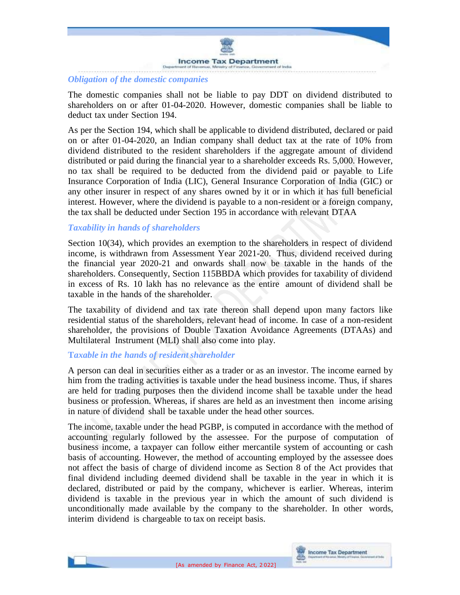

### *Obligation of the domestic companies*

The domestic companies shall not be liable to pay DDT on dividend distributed to shareholders on or after 01-04-2020. However, domestic companies shall be liable to deduct tax under Section 194.

As per the Section 194, which shall be applicable to dividend distributed, declared or paid on or after 01-04-2020, an Indian company shall deduct tax at the rate of 10% from dividend distributed to the resident shareholders if the aggregate amount of dividend distributed or paid during the financial year to a shareholder exceeds Rs. 5,000. However, no tax shall be required to be deducted from the dividend paid or payable to Life Insurance Corporation of India (LIC), General Insurance Corporation of India (GIC) or any other insurer in respect of any shares owned by it or in which it has full beneficial interest. However, where the dividend is payable to a non-resident or a foreign company, the tax shall be deducted under Section 195 in accordance with relevant DTAA

# *Taxability in hands of shareholders*

Section 10(34), which provides an exemption to the shareholders in respect of dividend income, is withdrawn from Assessment Year 2021-20. Thus, dividend received during the financial year 2020-21 and onwards shall now be taxable in the hands of the shareholders. Consequently, Section 115BBDA which provides for taxability of dividend in excess of Rs. 10 lakh has no relevance as the entire amount of dividend shall be taxable in the hands of the shareholder.

The taxability of dividend and tax rate thereon shall depend upon many factors like residential status of the shareholders, relevant head of income. In case of a non-resident shareholder, the provisions of Double Taxation Avoidance Agreements (DTAAs) and Multilateral Instrument (MLI) shall also come into play.

#### **T***axable in the hands of resident shareholder*

A person can deal in securities either as a trader or as an investor. The income earned by him from the trading activities is taxable under the head business income. Thus, if shares are held for trading purposes then the dividend income shall be taxable under the head business or profession. Whereas, if shares are held as an investment then income arising in nature of dividend shall be taxable under the head other sources.

The income, taxable under the head PGBP, is computed in accordance with the method of accounting regularly followed by the assessee. For the purpose of computation of business income, a taxpayer can follow either mercantile system of accounting or cash basis of accounting. However, the method of accounting employed by the assessee does not affect the basis of charge of dividend income as Section 8 of the Act provides that final dividend including deemed dividend shall be taxable in the year in which it is declared, distributed or paid by the company, whichever is earlier. Whereas, interim dividend is taxable in the previous year in which the amount of such dividend is unconditionally made available by the company to the shareholder. In other words, interim dividend is chargeable to tax on receipt basis.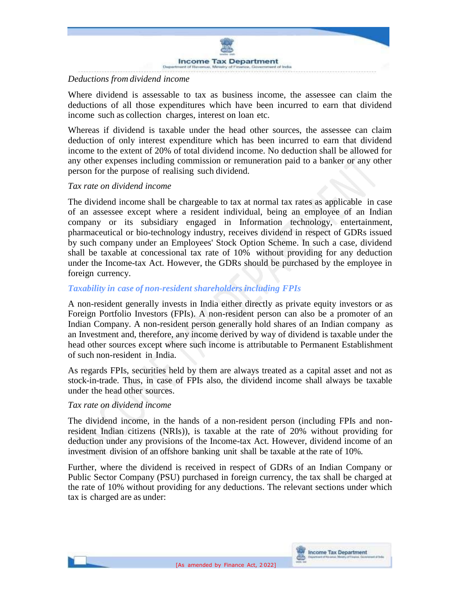

# *Deductions from dividend income*

Where dividend is assessable to tax as business income, the assessee can claim the deductions of all those expenditures which have been incurred to earn that dividend income such as collection charges, interest on loan etc.

Whereas if dividend is taxable under the head other sources, the assessee can claim deduction of only interest expenditure which has been incurred to earn that dividend income to the extent of 20% of total dividend income. No deduction shall be allowed for any other expenses including commission or remuneration paid to a banker or any other person for the purpose of realising such dividend.

# *Tax rate on dividend income*

The dividend income shall be chargeable to tax at normal tax rates as applicable in case of an assessee except where a resident individual, being an employee of an Indian company or its subsidiary engaged in Information technology, entertainment, pharmaceutical or bio-technology industry, receives dividend in respect of GDRs issued by such company under an Employees' Stock Option Scheme. In such a case, dividend shall be taxable at concessional tax rate of 10% without providing for any deduction under the Income-tax Act. However, the GDRs should be purchased by the employee in foreign currency.

# *Taxability in case of non-resident shareholders including FPIs*

A non-resident generally invests in India either directly as private equity investors or as Foreign Portfolio Investors (FPIs). A non-resident person can also be a promoter of an Indian Company. A non-resident person generally hold shares of an Indian company as an Investment and, therefore, any income derived by way of dividend is taxable under the head other sources except where such income is attributable to Permanent Establishment of such non-resident in India.

As regards FPIs, securities held by them are always treated as a capital asset and not as stock-in-trade. Thus, in case of FPIs also, the dividend income shall always be taxable under the head other sources.

# *Tax rate on dividend income*

The dividend income, in the hands of a non-resident person (including FPIs and nonresident Indian citizens (NRIs)), is taxable at the rate of 20% without providing for deduction under any provisions of the Income-tax Act. However, dividend income of an investment division of an offshore banking unit shall be taxable at the rate of 10%.

Further, where the dividend is received in respect of GDRs of an Indian Company or Public Sector Company (PSU) purchased in foreign currency, the tax shall be charged at the rate of 10% without providing for any deductions. The relevant sections under which tax is charged are as under: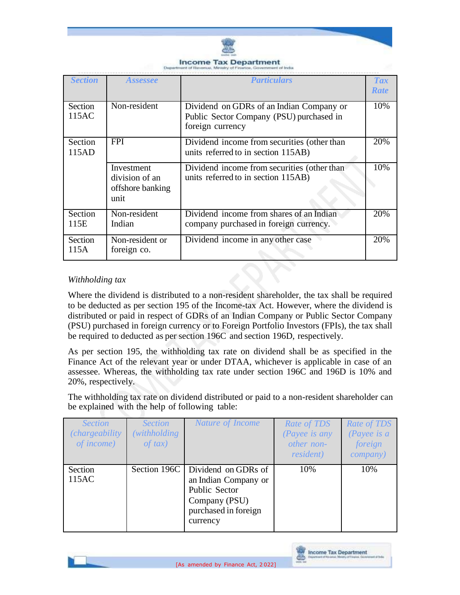

| <b>Section</b>   | <i><b>Assessee</b></i>                                   | <i>Particulars</i>                                                                                       | <b>Tax</b><br><b>Rate</b> |
|------------------|----------------------------------------------------------|----------------------------------------------------------------------------------------------------------|---------------------------|
| Section<br>115AC | Non-resident                                             | Dividend on GDRs of an Indian Company or<br>Public Sector Company (PSU) purchased in<br>foreign currency | 10%                       |
| Section<br>115AD | <b>FPI</b>                                               | Dividend income from securities (other than<br>units referred to in section 115AB)                       | 20%                       |
|                  | Investment<br>division of an<br>offshore banking<br>unit | Dividend income from securities (other than<br>units referred to in section 115AB)                       | 10%                       |
| Section<br>115E  | Non-resident<br>Indian                                   | Dividend income from shares of an Indian<br>company purchased in foreign currency.                       | 20%                       |
| Section<br>115A  | Non-resident or<br>foreign co.                           | Dividend income in any other case                                                                        | 20%                       |

# *Withholding tax*

Where the dividend is distributed to a non-resident shareholder, the tax shall be required to be deducted as per section 195 of the Income-tax Act. However, where the dividend is distributed or paid in respect of GDRs of an Indian Company or Public Sector Company (PSU) purchased in foreign currency or to Foreign Portfolio Investors (FPIs), the tax shall be required to deducted as per section 196C and section 196D, respectively.

As per section 195, the withholding tax rate on dividend shall be as specified in the Finance Act of the relevant year or under DTAA, whichever is applicable in case of an assessee. Whereas, the withholding tax rate under section 196C and 196D is 10% and 20%, respectively.

The withholding tax rate on dividend distributed or paid to a non-resident shareholder can be explained with the help of following table:

| <i>Section</i><br>(chargeability)<br>of income) | <b>Section</b><br>(withholding)<br>$of$ tax) | Nature of Income                                                                                                                 | Rate of TDS<br>(Payee is any<br>other non-<br><i>resident</i> ) | Rate of TDS<br>(Payee is $a$<br>foreign<br><i>company</i> ) |
|-------------------------------------------------|----------------------------------------------|----------------------------------------------------------------------------------------------------------------------------------|-----------------------------------------------------------------|-------------------------------------------------------------|
| Section<br>115AC                                |                                              | Section 196C   Dividend on GDRs of<br>an Indian Company or<br>Public Sector<br>Company (PSU)<br>purchased in foreign<br>currency | 10%                                                             | 10%                                                         |

**Income Tax Department** 

æ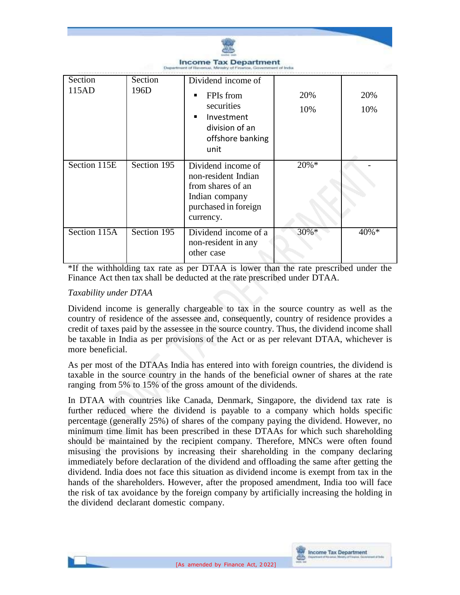

\*If the withholding tax rate as per DTAA is lower than the rate prescribed under the Finance Act then tax shall be deducted at the rate prescribed under DTAA.

### *Taxability under DTAA*

Dividend income is generally chargeable to tax in the source country as well as the country of residence of the assessee and, consequently, country of residence provides a credit of taxes paid by the assessee in the source country. Thus, the dividend income shall be taxable in India as per provisions of the Act or as per relevant DTAA, whichever is more beneficial.

As per most of the DTAAs India has entered into with foreign countries, the dividend is taxable in the source country in the hands of the beneficial owner of shares at the rate ranging from 5% to 15% of the gross amount of the dividends.

In DTAA with countries like Canada, Denmark, Singapore, the dividend tax rate is further reduced where the dividend is payable to a company which holds specific percentage (generally 25%) of shares of the company paying the dividend. However, no minimum time limit has been prescribed in these DTAAs for which such shareholding should be maintained by the recipient company. Therefore, MNCs were often found misusing the provisions by increasing their shareholding in the company declaring immediately before declaration of the dividend and offloading the same after getting the dividend. India does not face this situation as dividend income is exempt from tax in the hands of the shareholders. However, after the proposed amendment, India too will face the risk of tax avoidance by the foreign company by artificially increasing the holding in the dividend declarant domestic company.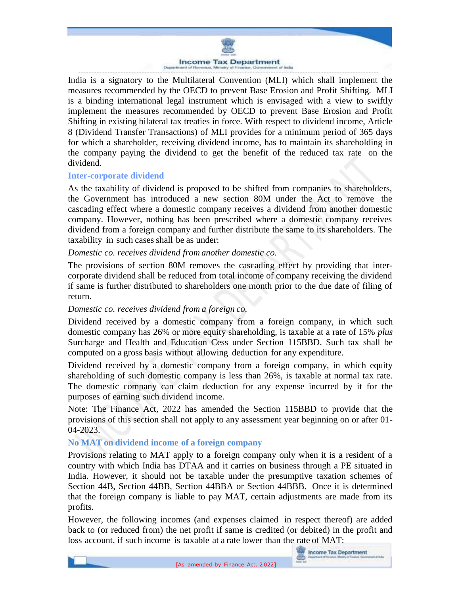### **Income Tax Department**

India is a signatory to the Multilateral Convention (MLI) which shall implement the measures recommended by the OECD to prevent Base Erosion and Profit Shifting. MLI is a binding international legal instrument which is envisaged with a view to swiftly implement the measures recommended by OECD to prevent Base Erosion and Profit Shifting in existing bilateral tax treaties in force. With respect to dividend income, Article 8 (Dividend Transfer Transactions) of MLI provides for a minimum period of 365 days for which a shareholder, receiving dividend income, has to maintain its shareholding in the company paying the dividend to get the benefit of the reduced tax rate on the dividend.

#### **Inter-corporate dividend**

As the taxability of dividend is proposed to be shifted from companies to shareholders, the Government has introduced a new section 80M under the Act to remove the cascading effect where a domestic company receives a dividend from another domestic company. However, nothing has been prescribed where a domestic company receives dividend from a foreign company and further distribute the same to its shareholders. The taxability in such cases shall be as under:

#### *Domestic co. receives dividend from another domestic co.*

The provisions of section 80M removes the cascading effect by providing that intercorporate dividend shall be reduced from total income of company receiving the dividend if same is further distributed to shareholders one month prior to the due date of filing of return.

#### *Domestic co. receives dividend from a foreign co.*

Dividend received by a domestic company from a foreign company, in which such domestic company has 26% or more equity shareholding, is taxable at a rate of 15% *plus* Surcharge and Health and Education Cess under Section 115BBD. Such tax shall be computed on a gross basis without allowing deduction for any expenditure.

Dividend received by a domestic company from a foreign company, in which equity shareholding of such domestic company is less than 26%, is taxable at normal tax rate. The domestic company can claim deduction for any expense incurred by it for the purposes of earning such dividend income.

Note: The Finance Act, 2022 has amended the Section 115BBD to provide that the provisions of this section shall not apply to any assessment year beginning on or after 01- 04-2023.

# **No MAT on dividend income of a foreign company**

Provisions relating to MAT apply to a foreign company only when it is a resident of a country with which India has DTAA and it carries on business through a PE situated in India. However, it should not be taxable under the presumptive taxation schemes of Section 44B, Section 44BB, Section 44BBA or Section 44BBB. Once it is determined that the foreign company is liable to pay MAT, certain adjustments are made from its profits.

However, the following incomes (and expenses claimed in respect thereof) are added back to (or reduced from) the net profit if same is credited (or debited) in the profit and loss account, if such income is taxable at a rate lower than the rate of MAT: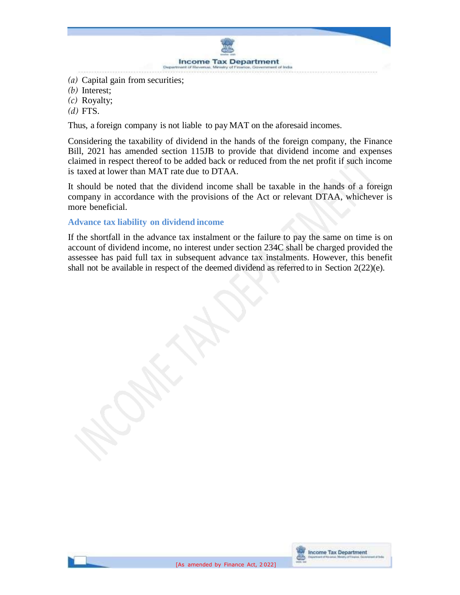

- *(a)* Capital gain from securities;
- *(b)* Interest;
- *(c)* Royalty;
- *(d)* FTS.

Thus, a foreign company is not liable to pay MAT on the aforesaid incomes.

Considering the taxability of dividend in the hands of the foreign company, the Finance Bill, 2021 has amended section 115JB to provide that dividend income and expenses claimed in respect thereof to be added back or reduced from the net profit if such income is taxed at lower than MAT rate due to DTAA.

It should be noted that the dividend income shall be taxable in the hands of a foreign company in accordance with the provisions of the Act or relevant DTAA, whichever is more beneficial.

# **Advance tax liability on dividend income**

If the shortfall in the advance tax instalment or the failure to pay the same on time is on account of dividend income, no interest under section 234C shall be charged provided the assessee has paid full tax in subsequent advance tax instalments. However, this benefit shall not be available in respect of the deemed dividend as referred to in Section 2(22)(e).

**Income Tax Department** 

æ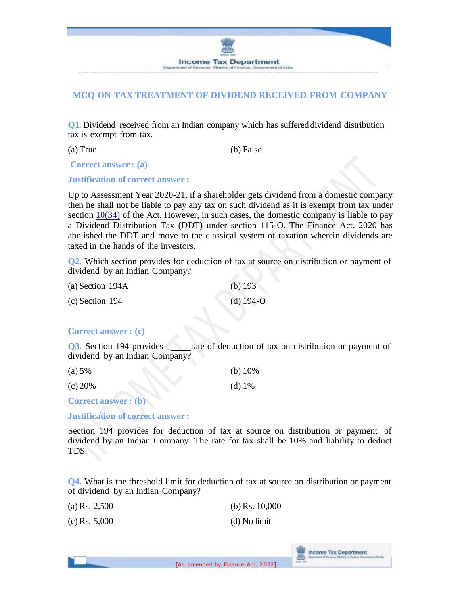

# **MCQ ON TAX TREATMENT OF DIVIDEND RECEIVED FROM COMPANY**

**Q1.** Dividend received from an Indian company which has suffered dividend distribution tax is exempt from tax.

(a) True (b) False

**Correct answer : (a)**

**Justification of correct answer :**

Up to Assessment Year 2020-21, if a shareholder gets dividend from a domestic company then he shall not be liable to pay any tax on such dividend as it is exempt from tax under section  $10(34)$  of the Act. However, in such cases, the domestic company is liable to pay a Dividend Distribution Tax (DDT) under section 115-O. The Finance Act, 2020 has abolished the DDT and move to the classical system of taxation wherein dividends are taxed in the hands of the investors.

**Q2.** Which section provides for deduction of tax at source on distribution or payment of dividend by an Indian Company?

| (a) Section $194A$ | (b) $193$   |
|--------------------|-------------|
| $(c)$ Section 194  | $(d)$ 194-O |

# **Correct answer : (c)**

**Q3.** Section 194 provides <u>and set of deduction of tax on distribution or payment of</u> dividend by an Indian Company?

| (a) 5%  | (b) $10\%$ |
|---------|------------|
| (c) 20% | (d) $1\%$  |

**Correct answer : (b)**

**Justification of correct answer :**

Section 194 provides for deduction of tax at source on distribution or payment of dividend by an Indian Company. The rate for tax shall be 10% and liability to deduct TDS.

**Q4.** What is the threshold limit for deduction of tax at source on distribution or payment of dividend by an Indian Company?

| (a) Rs. $2,500$ | (b) Rs. $10,000$ |
|-----------------|------------------|
| $(c)$ Rs. 5,000 | (d) No limit     |

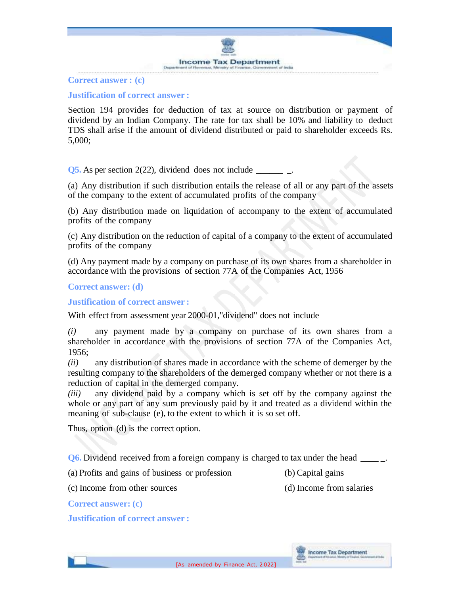

#### **Correct answer : (c)**

### **Justification of correct answer :**

Section 194 provides for deduction of tax at source on distribution or payment of dividend by an Indian Company. The rate for tax shall be 10% and liability to deduct TDS shall arise if the amount of dividend distributed or paid to shareholder exceeds Rs. 5,000;

**Q5.** As per section 2(22), dividend does not include  $\qquad \qquad$ .

(a) Any distribution if such distribution entails the release of all or any part of the assets of the company to the extent of accumulated profits of the company

(b) Any distribution made on liquidation of accompany to the extent of accumulated profits of the company

(c) Any distribution on the reduction of capital of a company to the extent of accumulated profits of the company

(d) Any payment made by a company on purchase of its own shares from a shareholder in accordance with the provisions of section 77A of the Companies Act, 1956

#### **Correct answer: (d)**

**Justification of correct answer :**

With effect from assessment year 2000-01,"dividend" does not include—

*(i)* any payment made by a company on purchase of its own shares from a shareholder in accordance with the provisions of section 77A of the Companies Act, 1956;

*(ii)* any distribution of shares made in accordance with the scheme of demerger by the resulting company to the shareholders of the demerged company whether or not there is a reduction of capital in the demerged company.

*(iii)* any dividend paid by a company which is set off by the company against the whole or any part of any sum previously paid by it and treated as a dividend within the meaning of sub-clause (e), to the extent to which it is so set off.

Thus, option (d) is the correct option.

**Q6.** Dividend received from a foreign company is charged to tax under the head  $\qquad$ .

(a) Profits and gains of business or profession (b) Capital gains

(c) Income from other sources (d) Income from salaries

**Correct answer: (c)**

**Justification of correct answer :**